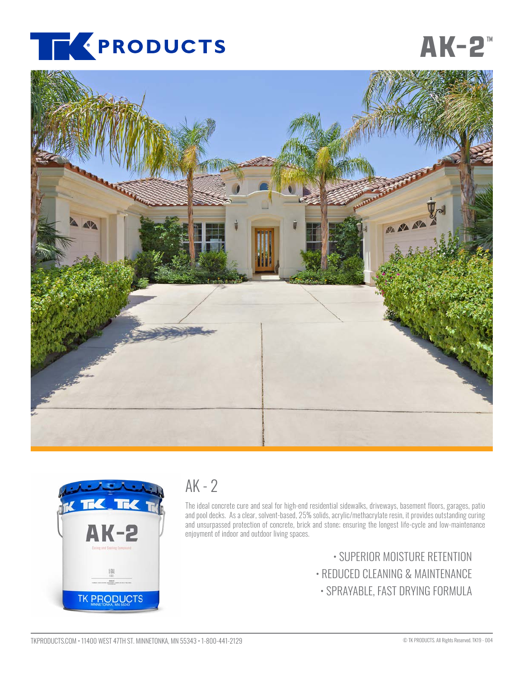

# **[AK-2](https://www.tkproducts.com/product/residential-curing-and-sealing/)<sup>m</sup>**





## $AK - 2$

The ideal concrete cure and seal for high-end residential sidewalks, driveways, basement floors, garages, patio and pool decks. As a clear, solvent-based, 25% solids, acrylic/methacrylate resin, it provides outstanding curing and unsurpassed protection of concrete, brick and stone; ensuring the longest life-cycle and low-maintenance enjoyment of indoor and outdoor living spaces.

> • SUPERIOR MOISTURE RETENTION • REDUCED CLEANING & MAINTENANCE • SPRAYABLE, FAST DRYING FORMULA